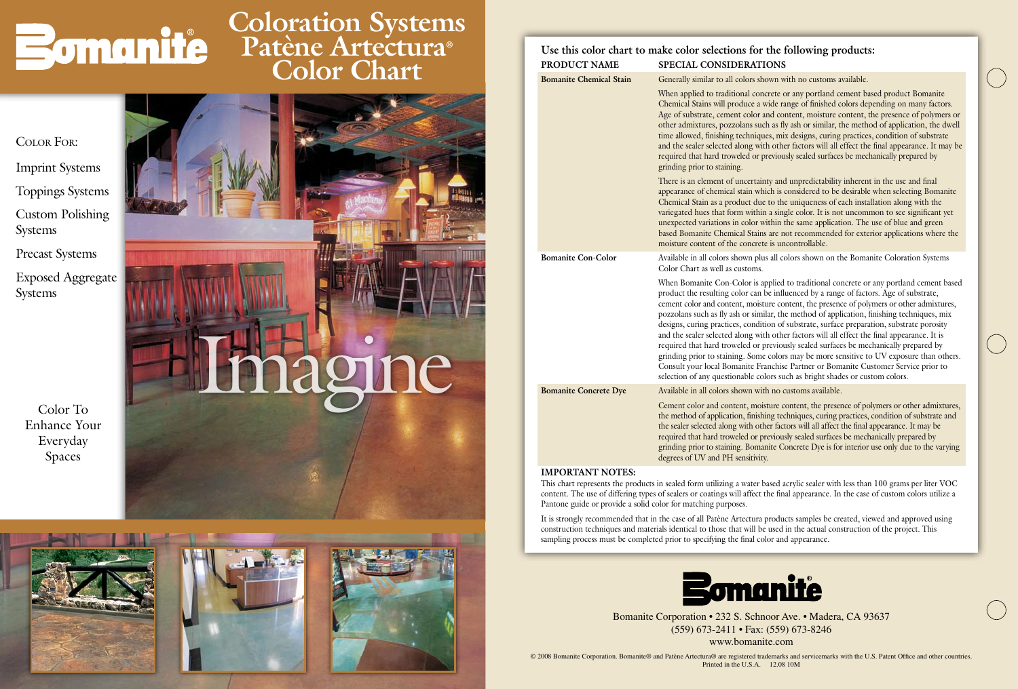



# **Coloration Systems Patène Artectura® Color Chart**

Color To Enhance Your Everyday Spaces

### Color For:

- Imprint Systems Toppings Systems Custom Polishing Systems
- Precast Systems
- Exposed Aggregate Systems

© 2008 Bomanite Corporation. Bomanite® and Patène Artectura® are registered trademarks and servicemarks with the U.S. Patent Office and other countries. Printed in the U.S.A. 12.08 10M



Bomanite Corporation • 232 S. Schnoor Ave. • Madera, CA 93637 (559) 673-2411 • Fax: (559) 673-8246

www.bomanite.com

## **Use this color chart to make color selections for the following products: Product Name Special Considerations**

**Bomanite Chemical Stain** Generally similar to all colors shown with no customs available.

**Bomanite Con-Color** Available in all colors shown plus all colors shown on the Bomanite Coloration Systems Color Chart as well as customs.

When applied to traditional concrete or any portland cement based product Bomanite Chemical Stains will produce a wide range of finished colors depending on many factors. Age of substrate, cement color and content, moisture content, the presence of polymers or other admixtures, pozzolans such as fly ash or similar, the method of application, the dwell time allowed, finishing techniques, mix designs, curing practices, condition of substrate and the sealer selected along with other factors will all effect the final appearance. It may be required that hard troweled or previously sealed surfaces be mechanically prepared by grinding prior to staining.

There is an element of uncertainty and unpredictability inherent in the use and final appearance of chemical stain which is considered to be desirable when selecting Bomanite Chemical Stain as a product due to the uniqueness of each installation along with the variegated hues that form within a single color. It is not uncommon to see significant yet unexpected variations in color within the same application. The use of blue and green based Bomanite Chemical Stains are not recommended for exterior applications where the moisture content of the concrete is uncontrollable.

When Bomanite Con-Color is applied to traditional concrete or any portland cement based product the resulting color can be influenced by a range of factors. Age of substrate, cement color and content, moisture content, the presence of polymers or other admixtures, pozzolans such as fly ash or similar, the method of application, finishing techniques, mix designs, curing practices, condition of substrate, surface preparation, substrate porosity and the sealer selected along with other factors will all effect the final appearance. It is required that hard troweled or previously sealed surfaces be mechanically prepared by grinding prior to staining. Some colors may be more sensitive to UV exposure than others. Consult your local Bomanite Franchise Partner or Bomanite Customer Service prior to selection of any questionable colors such as bright shades or custom colors.

**Bomanite Concrete Dye** Available in all colors shown with no customs available.

Cement color and content, moisture content, the presence of polymers or other admixtures, the method of application, finishing techniques, curing practices, condition of substrate and the sealer selected along with other factors will all affect the final appearance. It may be required that hard troweled or previously sealed surfaces be mechanically prepared by grinding prior to staining. Bomanite Concrete Dye is for interior use only due to the varying degrees of UV and PH sensitivity.

### **IMPORTANT NOTES:**

This chart represents the products in sealed form utilizing a water based acrylic sealer with less than 100 grams per liter VOC content. The use of differing types of sealers or coatings will affect the final appearance. In the case of custom colors utilize a Pantone guide or provide a solid color for matching purposes.

It is strongly recommended that in the case of all Patène Artectura products samples be created, viewed and approved using construction techniques and materials identical to those that will be used in the actual construction of the project. This sampling process must be completed prior to specifying the final color and appearance.